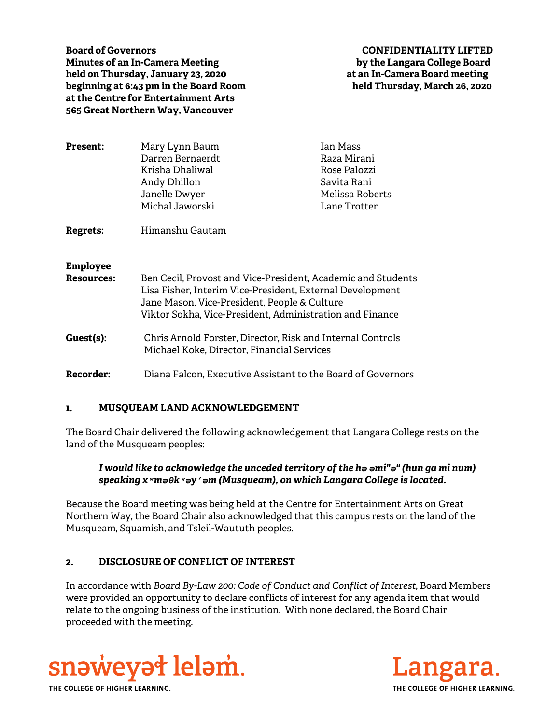**Board of Governors CONFIDENTIALITY LIFTED Minutes of an In-Camera Meeting by the Langara College Board held on Thursday, January 23, 2020 at an In-Camera Board meeting beginning at 6:43 pm in the Board Room held Thursday, March 26, 2020 at the Centre for Entertainment Arts 565 Great Northern Way, Vancouver** 

| <b>Present:</b>                      | Mary Lynn Baum<br>Darren Bernaerdt<br>Krisha Dhaliwal<br>Andy Dhillon<br>Janelle Dwyer<br>Michal Jaworski                                                                                                                             | <b>Jan Mass</b><br>Raza Mirani<br>Rose Palozzi<br>Savita Rani<br>Melissa Roberts<br>Lane Trotter |
|--------------------------------------|---------------------------------------------------------------------------------------------------------------------------------------------------------------------------------------------------------------------------------------|--------------------------------------------------------------------------------------------------|
| Regrets:                             | Himanshu Gautam                                                                                                                                                                                                                       |                                                                                                  |
| <b>Employee</b><br><b>Resources:</b> | Ben Cecil, Provost and Vice-President, Academic and Students<br>Lisa Fisher, Interim Vice-President, External Development<br>Jane Mason, Vice-President, People & Culture<br>Viktor Sokha, Vice-President, Administration and Finance |                                                                                                  |
| Guest(s):                            | Chris Arnold Forster, Director, Risk and Internal Controls<br>Michael Koke, Director, Financial Services                                                                                                                              |                                                                                                  |
| <b>Recorder:</b>                     | Diana Falcon, Executive Assistant to the Board of Governors                                                                                                                                                                           |                                                                                                  |

### **1. MUSQUEAM LAND ACKNOWLEDGEMENT**

The Board Chair delivered the following acknowledgement that Langara College rests on the land of the Musqueam peoples:

## *I would like to acknowledge the unceded territory of the hә әmi"ә" (hun ga mi num) speaking xʷmәθkʷәy̓әm (Musqueam), on which Langara College is located.*

Because the Board meeting was being held at the Centre for Entertainment Arts on Great Northern Way, the Board Chair also acknowledged that this campus rests on the land of the Musqueam, Squamish, and Tsleil-Waututh peoples.

# **2. DISCLOSURE OF CONFLICT OF INTEREST**

In accordance with *Board By-Law 200: Code of Conduct and Conflict of Interest*, Board Members were provided an opportunity to declare conflicts of interest for any agenda item that would relate to the ongoing business of the institution. With none declared, the Board Chair proceeded with the meeting.



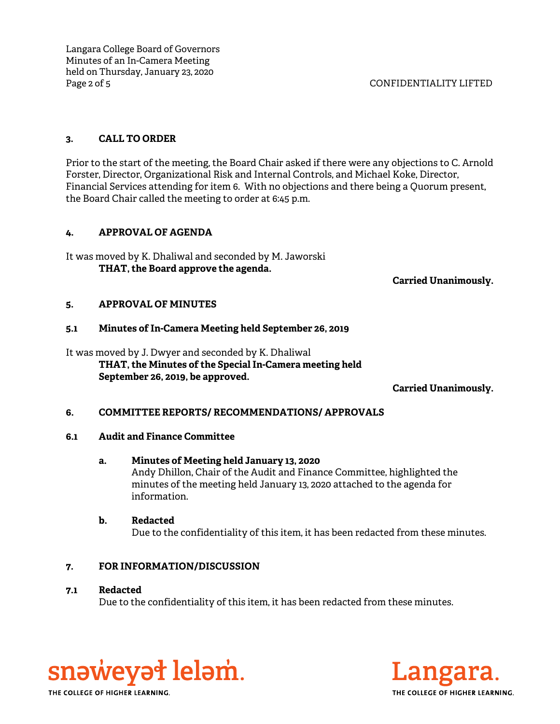Langara College Board of Governors Minutes of an In-Camera Meeting held on Thursday, January 23, 2020 Page 2 of 5 CONFIDENTIALITY LIFTED

## **3. CALL TO ORDER**

Prior to the start of the meeting, the Board Chair asked if there were any objections to C. Arnold Forster, Director, Organizational Risk and Internal Controls, and Michael Koke, Director, Financial Services attending for item 6. With no objections and there being a Quorum present, the Board Chair called the meeting to order at 6:45 p.m.

## **4. APPROVAL OF AGENDA**

It was moved by K. Dhaliwal and seconded by M. Jaworski **THAT, the Board approve the agenda.**

**Carried Unanimously.**

## **5. APPROVAL OF MINUTES**

## **5.1 Minutes of In-Camera Meeting held September 26, 2019**

It was moved by J. Dwyer and seconded by K. Dhaliwal **THAT, the Minutes of the Special In-Camera meeting held September 26, 2019, be approved.**

**Carried Unanimously.**

# **6. COMMITTEE REPORTS/ RECOMMENDATIONS/ APPROVALS**

### **6.1 Audit and Finance Committee**

### **a. Minutes of Meeting held January 13, 2020**

Andy Dhillon, Chair of the Audit and Finance Committee, highlighted the minutes of the meeting held January 13, 2020 attached to the agenda for information.

# **b. Redacted**

Due to the confidentiality of this item, it has been redacted from these minutes.

# **7. FOR INFORMATION/DISCUSSION**

### **7.1 Redacted**

Due to the confidentiality of this item, it has been redacted from these minutes.



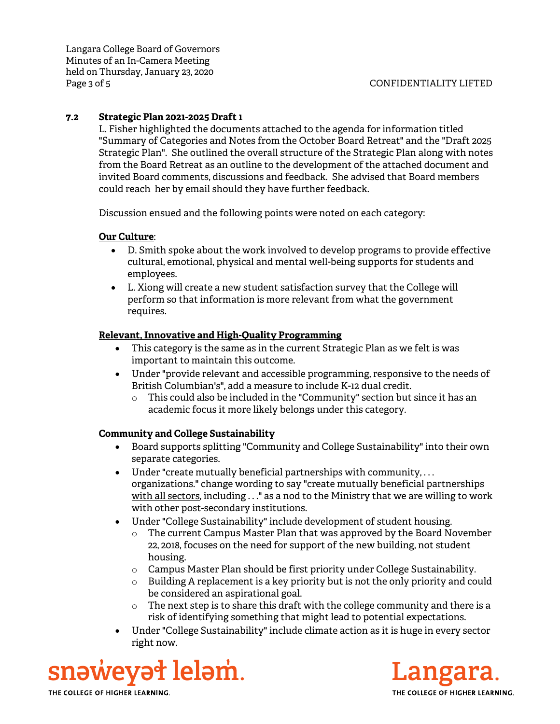Langara College Board of Governors Minutes of an In-Camera Meeting held on Thursday, January 23, 2020 Page 3 of 5 CONFIDENTIALITY LIFTED

# **7.2 Strategic Plan 2021-2025 Draft 1**

L. Fisher highlighted the documents attached to the agenda for information titled "Summary of Categories and Notes from the October Board Retreat" and the "Draft 2025 Strategic Plan". She outlined the overall structure of the Strategic Plan along with notes from the Board Retreat as an outline to the development of the attached document and invited Board comments, discussions and feedback. She advised that Board members could reach her by email should they have further feedback.

Discussion ensued and the following points were noted on each category:

# **Our Culture**:

- D. Smith spoke about the work involved to develop programs to provide effective cultural, emotional, physical and mental well-being supports for students and employees.
- L. Xiong will create a new student satisfaction survey that the College will perform so that information is more relevant from what the government requires.

# **Relevant, Innovative and High-Quality Programming**

- This category is the same as in the current Strategic Plan as we felt is was important to maintain this outcome.
- Under "provide relevant and accessible programming, responsive to the needs of British Columbian's", add a measure to include K-12 dual credit.
	- o This could also be included in the "Community" section but since it has an academic focus it more likely belongs under this category.

# **Community and College Sustainability**

- Board supports splitting "Community and College Sustainability" into their own separate categories.
- Under "create mutually beneficial partnerships with community, . . . organizations." change wording to say "create mutually beneficial partnerships with all sectors, including . . ." as a nod to the Ministry that we are willing to work with other post-secondary institutions.
- Under "College Sustainability" include development of student housing.
	- o The current Campus Master Plan that was approved by the Board November 22, 2018, focuses on the need for support of the new building, not student housing.
	- $\circ$  Campus Master Plan should be first priority under College Sustainability.
	- $\circ$  Building A replacement is a key priority but is not the only priority and could be considered an aspirational goal.
	- o The next step is to share this draft with the college community and there is a risk of identifying something that might lead to potential expectations.
- Under "College Sustainability" include climate action as it is huge in every sector right now.

snəweyət leləm.

THE COLLEGE OF HIGHER LEARNING.

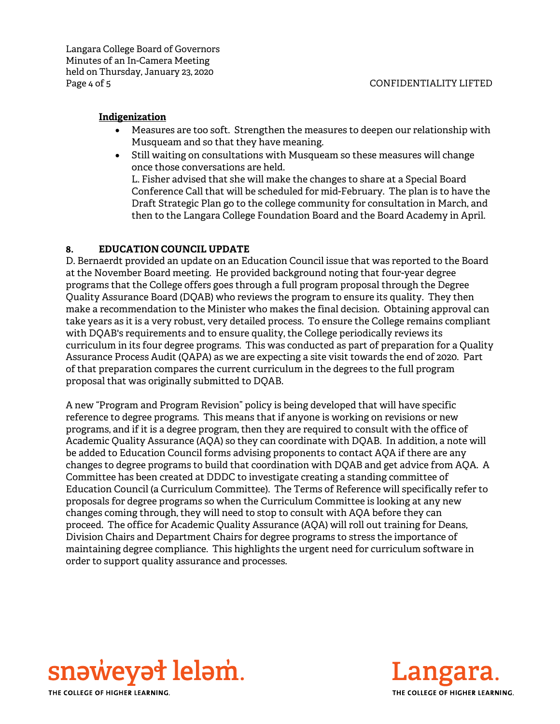### **Indigenization**

- Measures are too soft. Strengthen the measures to deepen our relationship with Musqueam and so that they have meaning.
- Still waiting on consultations with Musqueam so these measures will change once those conversations are held.

L. Fisher advised that she will make the changes to share at a Special Board Conference Call that will be scheduled for mid-February. The plan is to have the Draft Strategic Plan go to the college community for consultation in March, and then to the Langara College Foundation Board and the Board Academy in April.

# **8. EDUCATION COUNCIL UPDATE**

D. Bernaerdt provided an update on an Education Council issue that was reported to the Board at the November Board meeting. He provided background noting that four-year degree programs that the College offers goes through a full program proposal through the Degree Quality Assurance Board (DQAB) who reviews the program to ensure its quality. They then make a recommendation to the Minister who makes the final decision. Obtaining approval can take years as it is a very robust, very detailed process. To ensure the College remains compliant with DQAB's requirements and to ensure quality, the College periodically reviews its curriculum in its four degree programs. This was conducted as part of preparation for a Quality Assurance Process Audit (QAPA) as we are expecting a site visit towards the end of 2020. Part of that preparation compares the current curriculum in the degrees to the full program proposal that was originally submitted to DQAB.

A new "Program and Program Revision" policy is being developed that will have specific reference to degree programs. This means that if anyone is working on revisions or new programs, and if it is a degree program, then they are required to consult with the office of Academic Quality Assurance (AQA) so they can coordinate with DQAB. In addition, a note will be added to Education Council forms advising proponents to contact AQA if there are any changes to degree programs to build that coordination with DQAB and get advice from AQA. A Committee has been created at DDDC to investigate creating a standing committee of Education Council (a Curriculum Committee). The Terms of Reference will specifically refer to proposals for degree programs so when the Curriculum Committee is looking at any new changes coming through, they will need to stop to consult with AQA before they can proceed. The office for Academic Quality Assurance (AQA) will roll out training for Deans, Division Chairs and Department Chairs for degree programs to stress the importance of maintaining degree compliance. This highlights the urgent need for curriculum software in order to support quality assurance and processes.